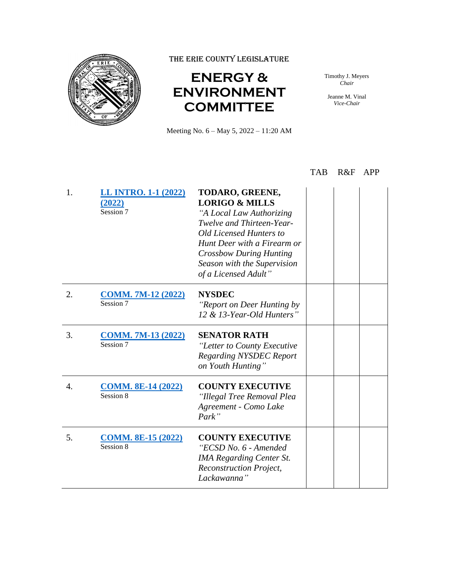

THE ERIE COUNTY LEGISLATURE

## **ENERGY & ENVIRONMENT COMMITTEE**

Meeting No. 6 – May 5, 2022 – 11:20 AM

Timothy J. Meyers *Chair*

Jeanne M. Vinal *Vice-Chair*

## TAB R&F APP

| 1. | <b>LL INTRO. 1-1 (2022)</b><br>(2022)<br>Session 7 | TODARO, GREENE,<br><b>LORIGO &amp; MILLS</b><br>"A Local Law Authorizing<br>Twelve and Thirteen-Year-<br>Old Licensed Hunters to<br>Hunt Deer with a Firearm or<br><b>Crossbow During Hunting</b><br>Season with the Supervision<br>of a Licensed Adult" |  |  |
|----|----------------------------------------------------|----------------------------------------------------------------------------------------------------------------------------------------------------------------------------------------------------------------------------------------------------------|--|--|
| 2. | <b>COMM. 7M-12 (2022)</b><br>Session 7             | <b>NYSDEC</b><br>"Report on Deer Hunting by<br>12 & 13-Year-Old Hunters"                                                                                                                                                                                 |  |  |
| 3. | <b>COMM. 7M-13 (2022)</b><br>Session 7             | <b>SENATOR RATH</b><br>"Letter to County Executive<br><b>Regarding NYSDEC Report</b><br>on Youth Hunting"                                                                                                                                                |  |  |
| 4. | <b>COMM. 8E-14 (2022)</b><br>Session 8             | <b>COUNTY EXECUTIVE</b><br>"Illegal Tree Removal Plea<br>Agreement - Como Lake<br>Park"                                                                                                                                                                  |  |  |
| 5. | <b>COMM. 8E-15 (2022)</b><br>Session 8             | <b>COUNTY EXECUTIVE</b><br>"ECSD No. 6 - Amended<br><b>IMA Regarding Center St.</b><br><b>Reconstruction Project,</b><br>Lackawanna"                                                                                                                     |  |  |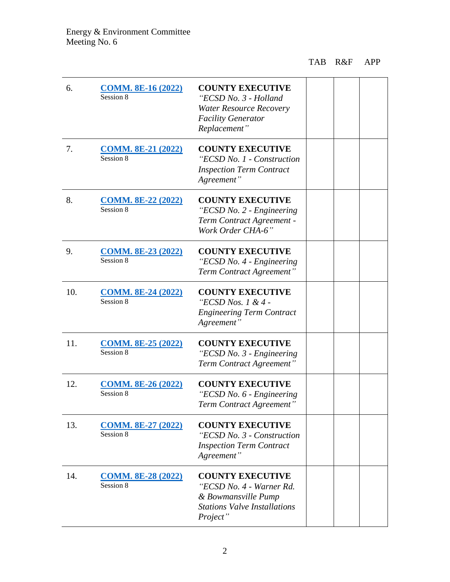## TAB R&F APP

| 6.  | <b>COMM. 8E-16 (2022)</b><br>Session 8 | <b>COUNTY EXECUTIVE</b><br>"ECSD No. 3 - Holland<br><b>Water Resource Recovery</b><br><b>Facility Generator</b><br>Replacement" |  |  |
|-----|----------------------------------------|---------------------------------------------------------------------------------------------------------------------------------|--|--|
| 7.  | <b>COMM. 8E-21 (2022)</b><br>Session 8 | <b>COUNTY EXECUTIVE</b><br>"ECSD No. 1 - Construction<br><b>Inspection Term Contract</b><br>Agreement"                          |  |  |
| 8.  | <b>COMM. 8E-22 (2022)</b><br>Session 8 | <b>COUNTY EXECUTIVE</b><br>"ECSD No. 2 - Engineering<br>Term Contract Agreement -<br>Work Order CHA-6"                          |  |  |
| 9.  | <b>COMM. 8E-23 (2022)</b><br>Session 8 | <b>COUNTY EXECUTIVE</b><br>"ECSD No. 4 - Engineering<br>Term Contract Agreement"                                                |  |  |
| 10. | <b>COMM. 8E-24 (2022)</b><br>Session 8 | <b>COUNTY EXECUTIVE</b><br>"ECSD Nos. 1 & 4 -<br><b>Engineering Term Contract</b><br>Agreement"                                 |  |  |
| 11. | <b>COMM. 8E-25 (2022)</b><br>Session 8 | <b>COUNTY EXECUTIVE</b><br>"ECSD No. 3 - Engineering<br>Term Contract Agreement"                                                |  |  |
| 12. | <b>COMM. 8E-26 (2022)</b><br>Session 8 | <b>COUNTY EXECUTIVE</b><br>"ECSD No. 6 - Engineering<br>Term Contract Agreement                                                 |  |  |
| 13. | <b>COMM. 8E-27 (2022)</b><br>Session 8 | <b>COUNTY EXECUTIVE</b><br>"ECSD No. 3 - Construction<br><b>Inspection Term Contract</b><br>Agreement"                          |  |  |
| 14. | <b>COMM. 8E-28 (2022)</b><br>Session 8 | <b>COUNTY EXECUTIVE</b><br>"ECSD No. 4 - Warner Rd.<br>& Bowmansville Pump<br><b>Stations Valve Installations</b><br>Project"   |  |  |